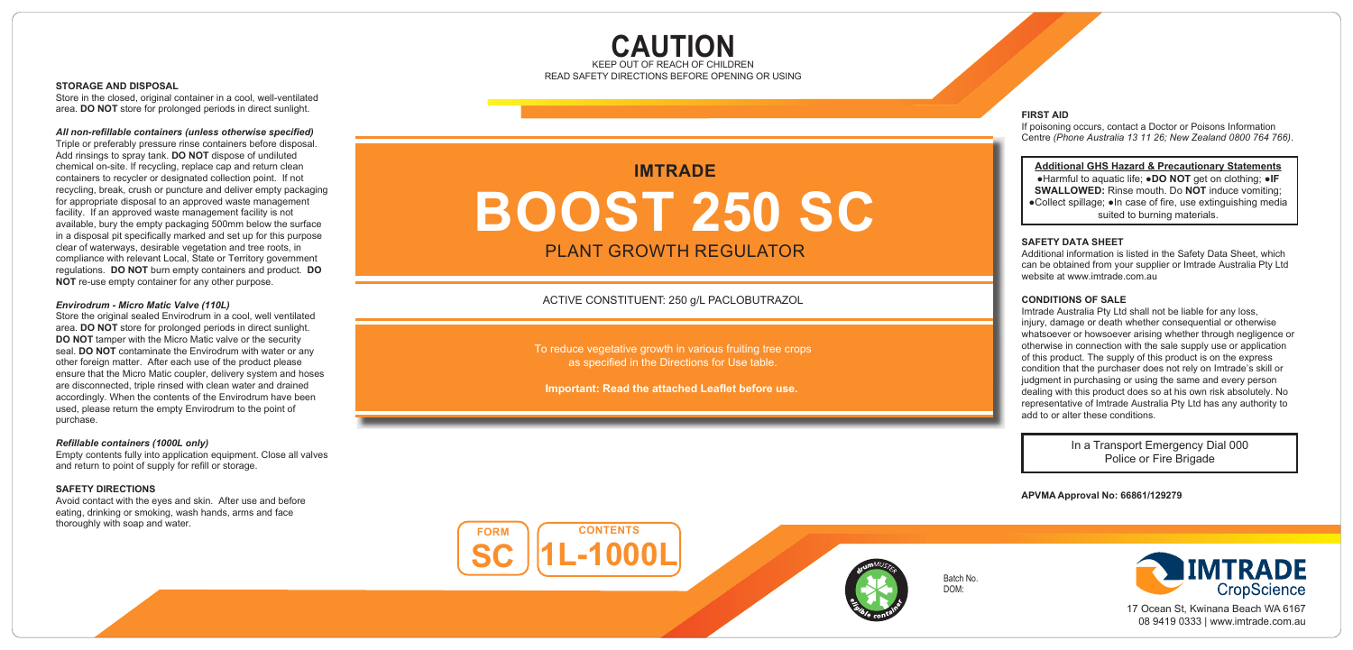# **CAUTION** KEEP OUT OF REACH OF CHILDREN<br>READ SAFETY DIRECTIONS BEFORE OPENING OR USING

#### **STORAGE AND DISPOSAL**

Store in the closed, original container in a cool, well-ventilated area. **DO NOT** store for prolonged periods in direct sunlight.

### *All non-refillable containers (unless otherwise specified)*

Triple or preferably pressure rinse containers before disposal. Add rinsings to spray tank. **DO NOT** dispose of undiluted chemical on-site. If recycling, replace cap and return clean containers to recycler or designated collection point. If not recycling, break, crush or puncture and deliver empty packaging for appropriate disposal to an approved waste management facility. If an approved waste management facility is not available, bury the empty packaging 500mm below the surface in a disposal pit specifically marked and set up for this purpose clear of waterways, desirable vegetation and tree roots, in compliance with relevant Local, State or Territory government regulations. **DO NOT** burn empty containers and product. **DO NOT** re-use empty container for any other purpose.

# *Envirodrum - Micro Matic Valve (110L)*

Store the original sealed Envirodrum in a cool, well ventilated area. **DO NOT** store for prolonged periods in direct sunlight. **DO NOT** tamper with the Micro Matic valve or the security seal. **DO NOT** contaminate the Envirodrum with water or any other foreign matter. After each use of the product please ensure that the Micro Matic coupler, delivery system and hoses are disconnected, triple rinsed with clean water and drained accordingly. When the contents of the Envirodrum have been used, please return the empty Envirodrum to the point of purchase.

# *Refillable containers (1000L only)*

Empty contents fully into application equipment. Close all valves and return to point of supply for refill or storage.

### **SAFETY DIRECTIONS**

Avoid contact with the eyes and skin. After use and before eating, drinking or smoking, wash hands, arms and face thoroughly with soap and water.

# **I M TRAD E BOOS T 250 S C** PLANT GROWTH REGULATOR

ACTIVE CONSTITUEN T: 250 g/ L PACLOBUTRAZOL

To reduce vegetative growth in various fruiting tree crops as specified in the Directions for Use table.

**Important: Read the attached Leaflet before use.** 

# **FIRST AID**

If poisoning occurs, contact a Doctor or Poisons Information Centre *(Phone Australia 13 11 26; New Zealand 0800 764 766)* .

# **Additional GHS Hazard & Precautionary Statements**

●Harmful to aquatic life; ●**DO NOT** get on clothing; ●**IF SWALLOWED:** Rinse mouth. Do **NOT** induce vomiting; ●Collect spillage; ●In case of fire, use extinguishing media suited to burning materials.

#### **SAFETY DATA SHEET**

Additional information is listed in the Safety Data Sheet, which can be obtained from your supplier or Imtrade Australia Pty Ltd website at www.imtrade.com.au.

# **CONDITIONS OF SALE**

Imtrade Australia Pty Ltd shall not be liable for any loss, injury, damage or death whether consequential or otherwise whatsoever or howsoever arising whether through negligence or otherwise in connection with the sale supply use or application of this product. The supply of this product is on the express condition that the purchaser does not rely on Imtrade's skill or judgment in purchasing or using the same and every person dealing with this product does so at his own risk absolutely. No representative of Imtrade Australia Pty Ltd has any authority to add to or alter these conditions.

> In a Transport Emergency Dial 000 Police or Fire Brigade

**APVMA Approval No: 66861/129279**

**C O NTE N T S 1L-1000L FO R M SC**



Batch No. DOM:

**IMTRADE** CropScience

17 Ocean St, Kwinana Beach WA 6167 08 9419 0333 | ww w.imtrade.com.au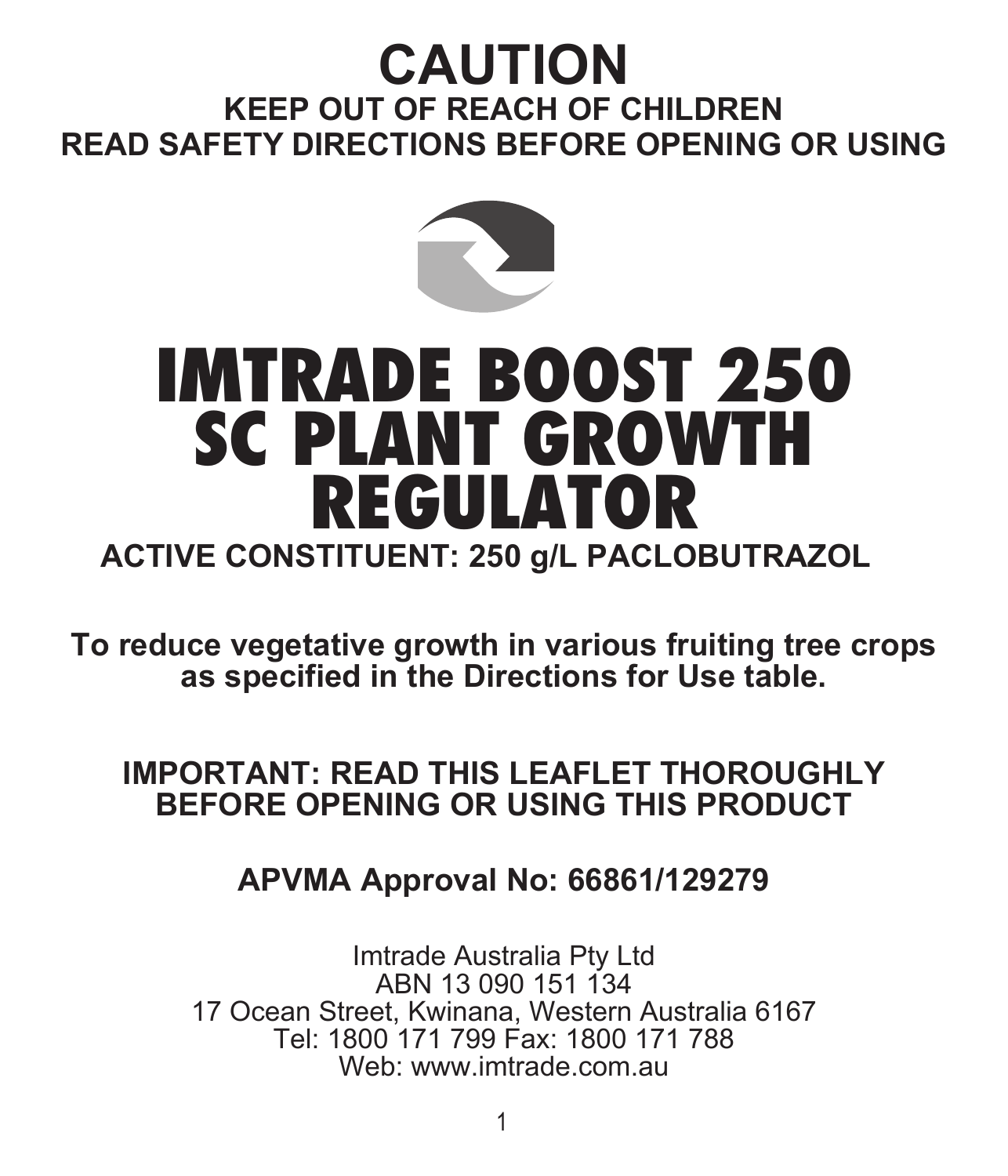# **CAUTION**

# **KEEP OUT OF REACH OF CHILDREN READ SAFETY DIRECTIONS BEFORE OPENING OR USING**



# IMTRADE BOOST 250 SC PLANT GROWTH REGULATOR

# **ACTIVE CONSTITUENT: 250 g/L PACLOBUTRAZOL**

**To reduce vegetative growth in various fruiting tree crops as specified in the Directions for Use table.**

# **IMPORTANT: READ THIS LEAFLET THOROUGHLY BEFORE OPENING OR USING THIS PRODUCT**

# **APVMA Approval No: 66861/129279**

Imtrade Australia Pty Ltd ABN 13 090 151 134 17 Ocean Street, Kwinana, Western Australia 6167 Tel: 1800 171 799 Fax: 1800 171 788 Web: www.imtrade.com.au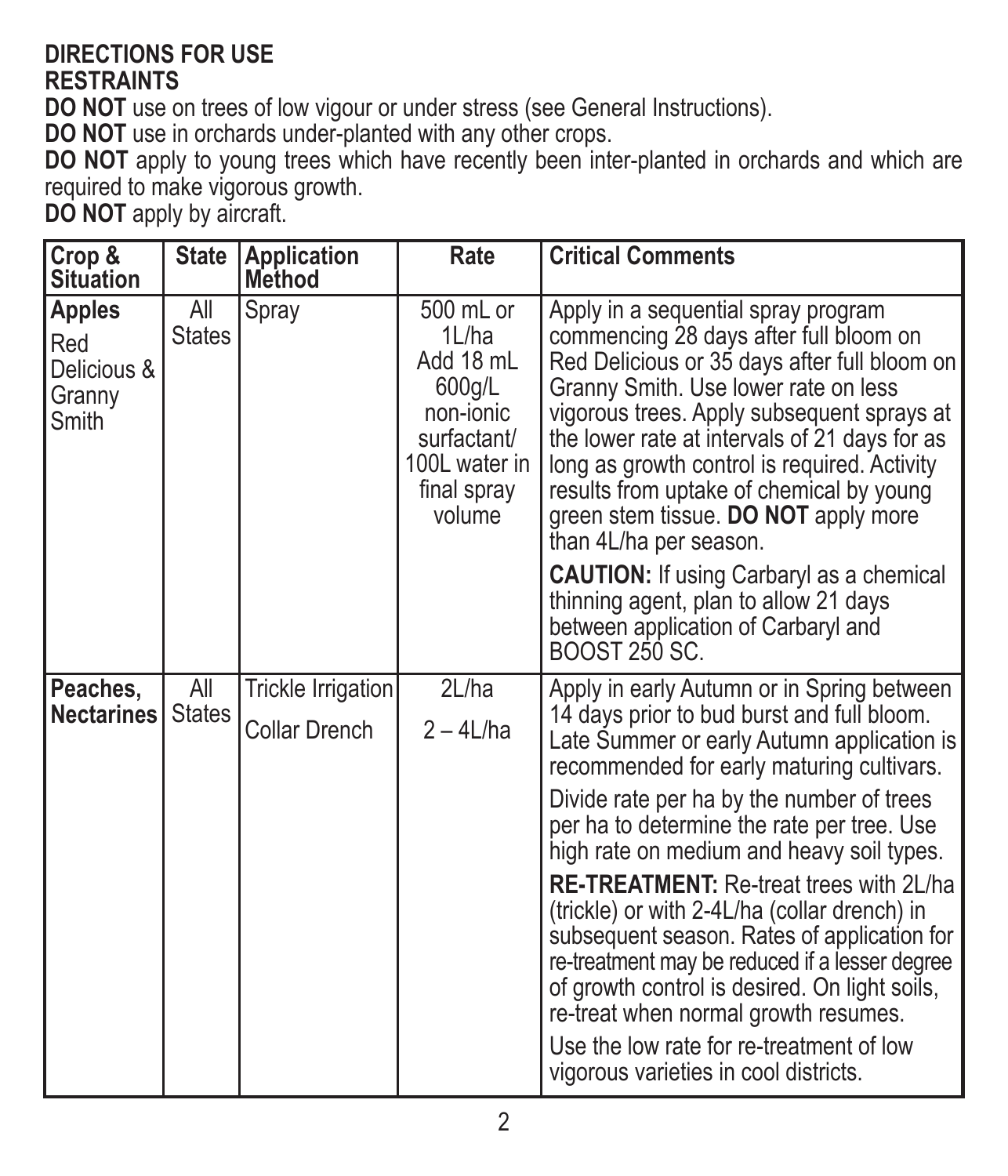#### **DIRECTIONS FOR USE RESTRAINTS**

**DO NOT** use on trees of low vigour or under stress (see General Instructions).

**DO NOT** use in orchards under-planted with any other crops.

**DO NOT** apply to young trees which have recently been inter-planted in orchards and which are required to make vigorous growth.

**DO NOT** apply by aircraft.

| Crop &<br><b>Situation</b>                      | <b>State</b>         | <b>Application</b><br>Method        | Rate                                                                                                            | <b>Critical Comments</b>                                                                                                                                                                                                                                                                                                                                                                                                                                                                                                                                                                                                                                                                                     |
|-------------------------------------------------|----------------------|-------------------------------------|-----------------------------------------------------------------------------------------------------------------|--------------------------------------------------------------------------------------------------------------------------------------------------------------------------------------------------------------------------------------------------------------------------------------------------------------------------------------------------------------------------------------------------------------------------------------------------------------------------------------------------------------------------------------------------------------------------------------------------------------------------------------------------------------------------------------------------------------|
| Apples<br>Red<br>Delicious &<br>Granny<br>Smith | All<br><b>States</b> | Spray                               | 500 mL or<br>1L/ha<br>Add 18 mL<br>600g/L<br>non-jonic<br>surfactant/<br>100L water in<br>final spray<br>volume | Apply in a sequential spray program<br>commencing 28 days after full bloom on<br>Red Delicious or 35 days after full bloom on<br>Granny Smith. Use lower rate on less<br>vigorous trees. Apply subsequent sprays at<br>the lower rate at intervals of 21 days for as<br>long as growth control is required. Activity<br>results from uptake of chemical by young<br>green stem tissue. DO NOT apply more<br>than 4L/ha per season.<br><b>CAUTION:</b> If using Carbaryl as a chemical<br>thinning agent, plan to allow 21 days<br>between application of Carbaryl and<br>BOOST 250 SC.                                                                                                                       |
| Peaches,<br><b>Nectarines</b>                   | All<br><b>States</b> | Trickle Irrigation<br>Collar Drench | 2L/ha<br>$2 - 4$ L/ha                                                                                           | Apply in early Autumn or in Spring between<br>14 days prior to bud burst and full bloom.<br>Late Summer or early Autumn application is<br>recommended for early maturing cultivars.<br>Divide rate per ha by the number of trees<br>per ha to determine the rate per tree. Use<br>high rate on medium and heavy soil types.<br><b>RE-TREATMENT:</b> Re-treat trees with 2L/ha<br>(trickle) or with 2-4L/ha (collar drench) in<br>subsequent season. Rates of application for<br>re-treatment may be reduced if a lesser degree<br>of growth control is desired. On light soils,<br>re-treat when normal growth resumes.<br>Use the low rate for re-treatment of low<br>vigorous varieties in cool districts. |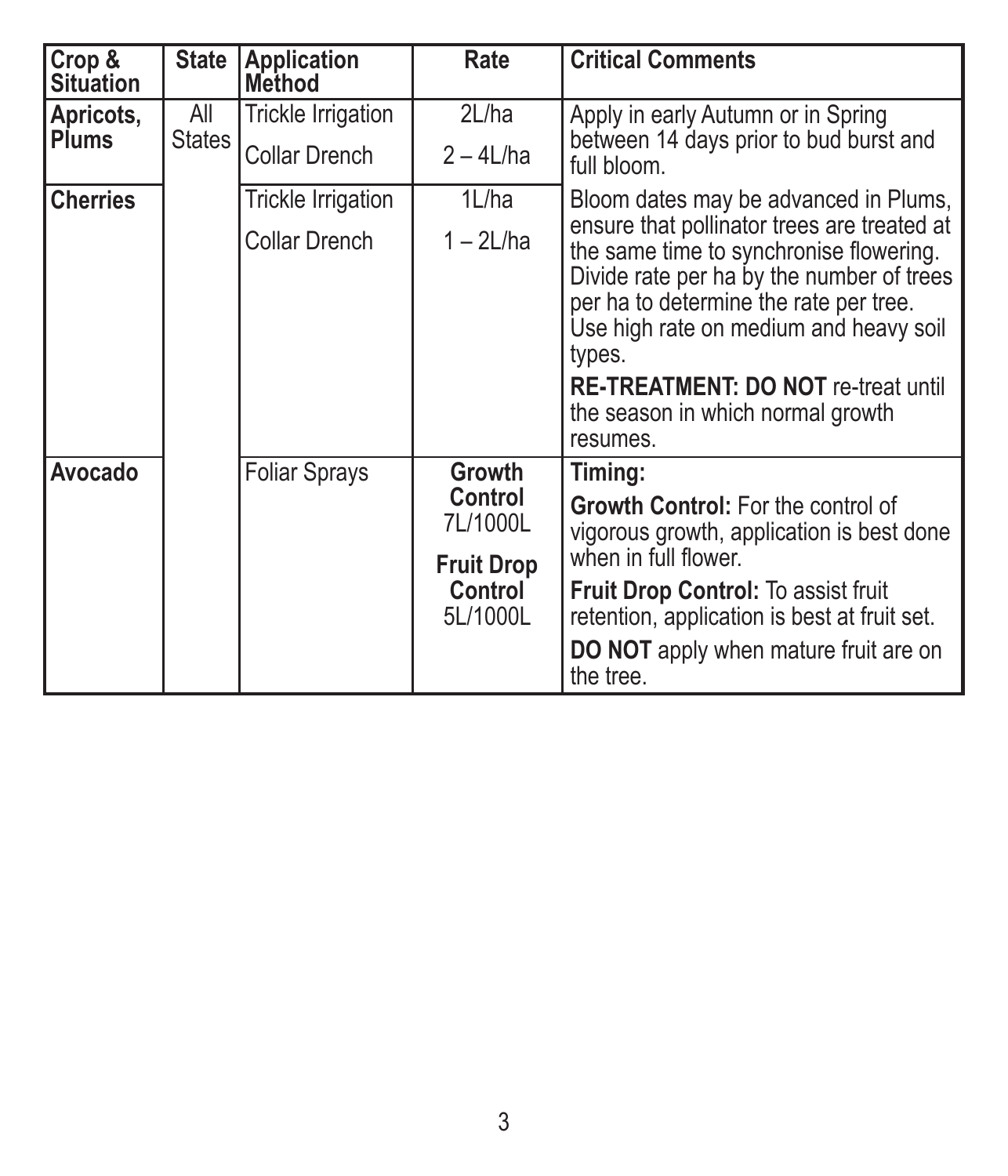| Crop &<br><b>Situation</b> | State                | Application<br>Method     | Rate                                     | <b>Critical Comments</b>                                                                                                                                                                                                          |
|----------------------------|----------------------|---------------------------|------------------------------------------|-----------------------------------------------------------------------------------------------------------------------------------------------------------------------------------------------------------------------------------|
| Apricots,<br><b>Plums</b>  | All<br><b>States</b> | Trickle Irrigation        | 2L/ha                                    | Apply in early Autumn or in Spring<br>between 14 days prior to bud burst and<br>full bloom.                                                                                                                                       |
|                            |                      | Collar Drench             | $2 - 4$ L/ha                             |                                                                                                                                                                                                                                   |
| <b>Cherries</b>            |                      | <b>Trickle Irrigation</b> | 1L/ha                                    | Bloom dates may be advanced in Plums,                                                                                                                                                                                             |
|                            |                      | Collar Drench             | $1 - 2$ L/ha                             | ensure that pollinator trees are treated at<br>the same time to synchronise flowering.<br>Divide rate per ha by the number of trees<br>per ha to determine the rate per tree.<br>Use high rate on medium and heavy soil<br>types. |
|                            |                      |                           |                                          | <b>RE-TREATMENT: DO NOT re-treat until</b><br>the season in which normal growth<br>resumes.                                                                                                                                       |
| Avocado                    |                      | <b>Foliar Sprays</b>      | Growth<br>Control<br>7L/1000L            | Timing:                                                                                                                                                                                                                           |
|                            |                      |                           |                                          | Growth Control: For the control of<br>vigorous growth, application is best done                                                                                                                                                   |
|                            |                      |                           | <b>Fruit Drop</b><br>Control<br>5L/1000L | when in full flower.                                                                                                                                                                                                              |
|                            |                      |                           |                                          | Fruit Drop Control: To assist fruit<br>retention, application is best at fruit set.                                                                                                                                               |
|                            |                      |                           |                                          | DO NOT apply when mature fruit are on<br>the tree.                                                                                                                                                                                |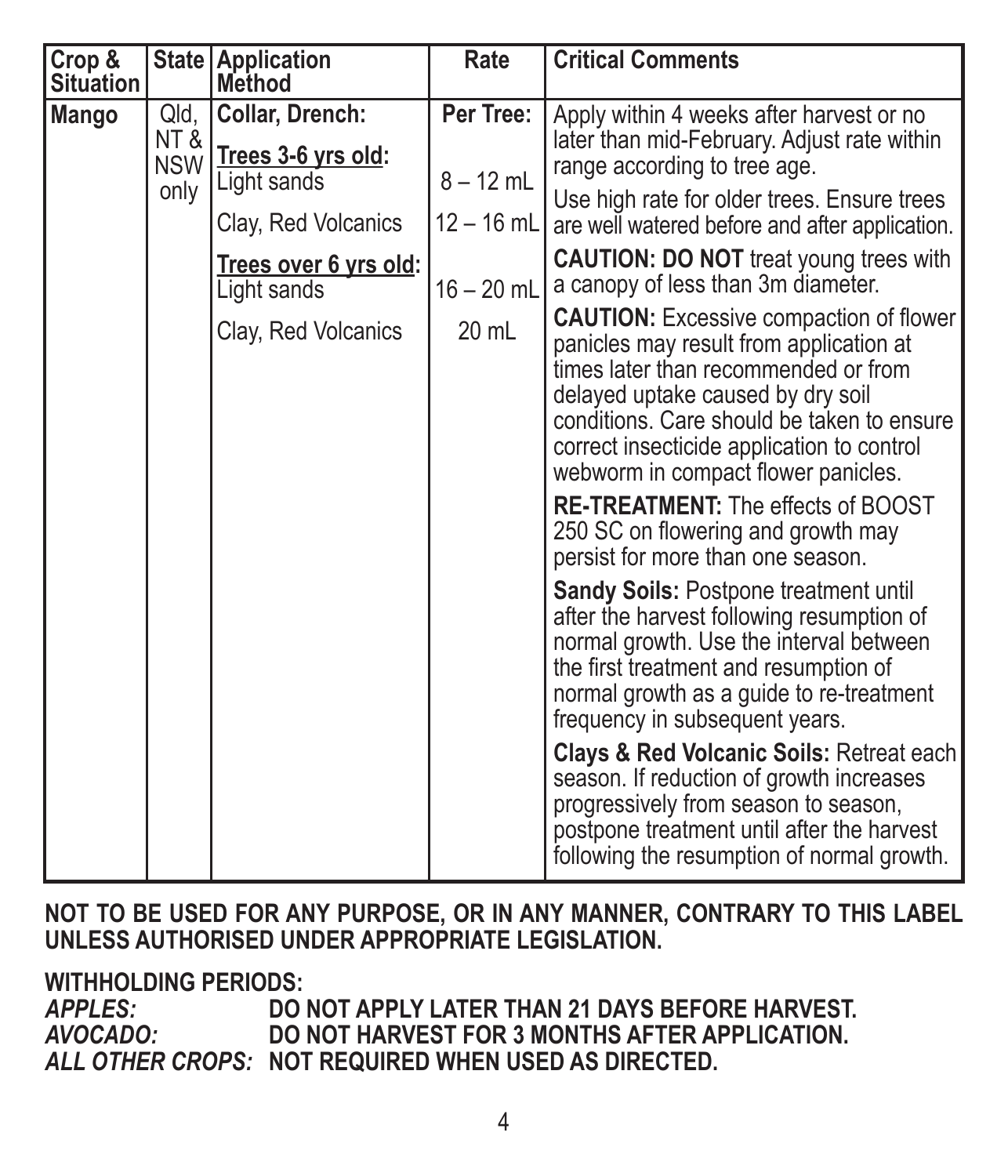| Crop &<br><b>Situation</b> |                                   | State Application<br>Method          | Rate         | <b>Critical Comments</b>                                                                                                                                                                                                                                                                                                                                                                                                                                                                                                                                                                                                                                                                                                                                                                                                                                                                                              |
|----------------------------|-----------------------------------|--------------------------------------|--------------|-----------------------------------------------------------------------------------------------------------------------------------------------------------------------------------------------------------------------------------------------------------------------------------------------------------------------------------------------------------------------------------------------------------------------------------------------------------------------------------------------------------------------------------------------------------------------------------------------------------------------------------------------------------------------------------------------------------------------------------------------------------------------------------------------------------------------------------------------------------------------------------------------------------------------|
| Mango                      | Qld,<br>NT&<br><b>NSW</b><br>only | Collar, Drench:                      | Per Tree:    | Apply within 4 weeks after harvest or no<br>later than mid-February. Adjust rate within                                                                                                                                                                                                                                                                                                                                                                                                                                                                                                                                                                                                                                                                                                                                                                                                                               |
|                            |                                   | Trees 3-6 yrs old:<br>Light sands    | $8 - 12$ mL  | range according to tree age.                                                                                                                                                                                                                                                                                                                                                                                                                                                                                                                                                                                                                                                                                                                                                                                                                                                                                          |
|                            |                                   | Clay, Red Volcanics                  | $12 - 16$ mL | Use high rate for older trees. Ensure trees<br>are well watered before and after application.                                                                                                                                                                                                                                                                                                                                                                                                                                                                                                                                                                                                                                                                                                                                                                                                                         |
|                            |                                   | Trees over 6 yrs old:<br>Light sands | $16 - 20$ mL | <b>CAUTION: DO NOT treat young trees with</b><br>a canopy of less than 3m diameter.                                                                                                                                                                                                                                                                                                                                                                                                                                                                                                                                                                                                                                                                                                                                                                                                                                   |
|                            |                                   | Clay, Red Volcanics                  | 20 mL        | <b>CAUTION:</b> Excessive compaction of flower<br>panicles may result from application at<br>times later than recommended or from<br>delayed uptake caused by dry soil<br>conditions. Care should be taken to ensure<br>correct insecticide application to control<br>webworm in compact flower panicles.<br>RE-TREATMENT: The effects of BOOST<br>250 SC on flowering and growth may<br>persist for more than one season.<br><b>Sandy Soils: Postpone treatment until</b><br>after the harvest following resumption of<br>normal growth. Use the interval between<br>the first treatment and resumption of<br>normal growth as a guide to re-treatment<br>frequency in subsequent years.<br>Clays & Red Volcanic Soils: Retreat each<br>season. If reduction of growth increases<br>progressively from season to season,<br>postpone treatment until after the harvest<br>following the resumption of normal growth. |

**NOT TO BE USED FOR ANY PURPOSE, OR IN ANY MANNER, CONTRARY TO THIS LABEL UNLESS AUTHORISED UNDER APPROPRIATE LEGISLATION.**

**WITHHOLDING PERIODS:**

*APPLES:* **DO NOT APPLY LATER THAN 21 DAYS BEFORE HARVEST.** *AVOCADO:* **DO NOT HARVEST FOR 3 MONTHS AFTER APPLICATION.** *ALL OTHER CROPS:* **NOT REQUIRED WHEN USED AS DIRECTED.**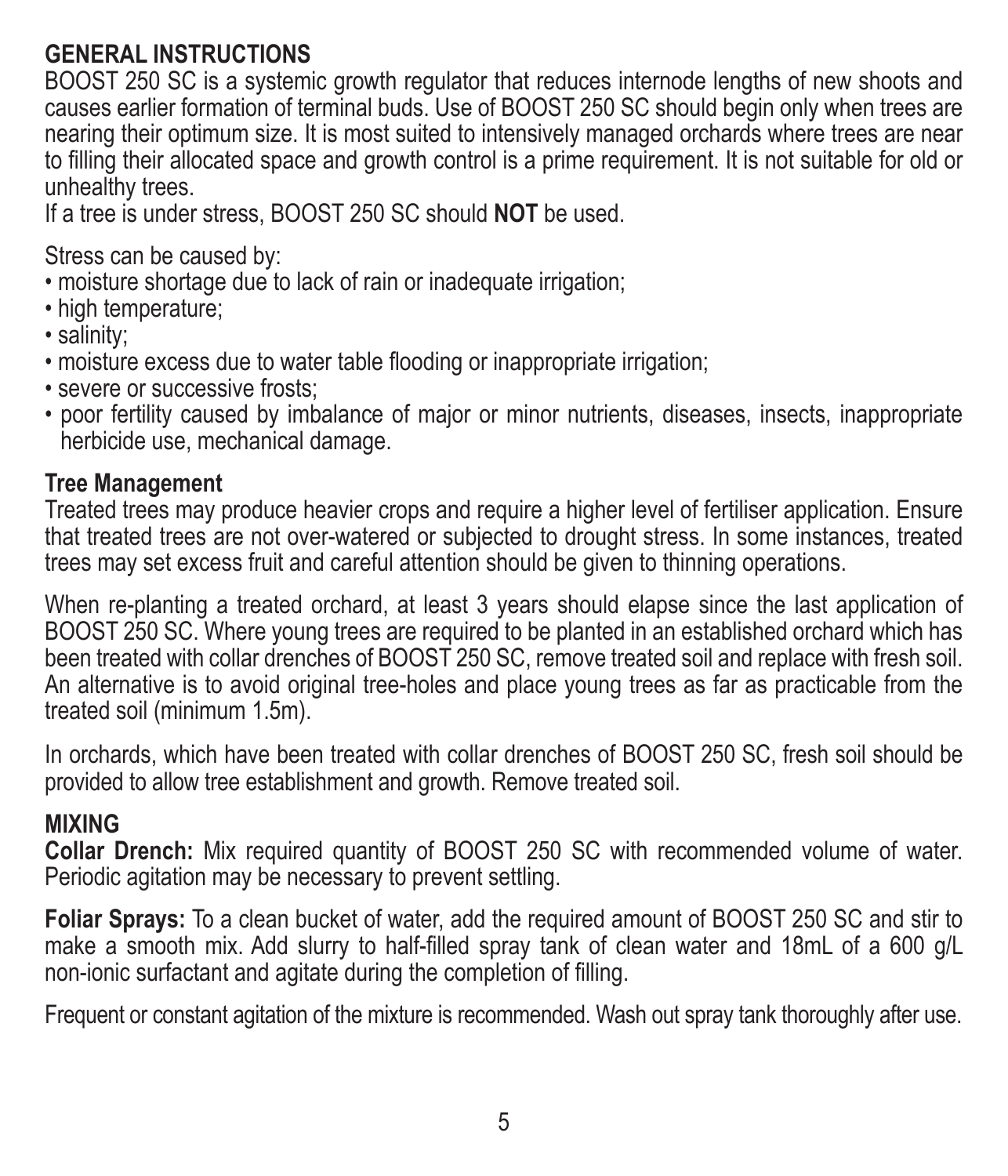#### **GENERAL INSTRUCTIONS**

BOOST 250 SC is a systemic growth regulator that reduces internode lengths of new shoots and causes earlier formation of terminal buds. Use of BOOST 250 SC should begin only when trees are nearing their optimum size. It is most suited to intensively managed orchards where trees are near to filling their allocated space and growth control is a prime requirement. It is not suitable for old or unhealthy trees.

If a tree is under stress, BOOST 250 SC should **NOT** be used.

Stress can be caused by:

- moisture shortage due to lack of rain or inadequate irrigation;
- high temperature:
- salinity;
- moisture excess due to water table flooding or inappropriate irrigation;
- severe or successive frosts;
- poor fertility caused by imbalance of major or minor nutrients, diseases, insects, inappropriate herbicide use, mechanical damage.

#### **Tree Management**

Treated trees may produce heavier crops and require a higher level of fertiliser application. Ensure that treated trees are not over-watered or subjected to drought stress. In some instances, treated trees may set excess fruit and careful attention should be given to thinning operations.

When re-planting a treated orchard, at least 3 years should elapse since the last application of BOOST 250 SC. Where young trees are required to be planted in an established orchard which has been treated with collar drenches of BOOST 250 SC, remove treated soil and replace with fresh soil. An alternative is to avoid original tree-holes and place young trees as far as practicable from the treated soil (minimum 1.5m).

In orchards, which have been treated with collar drenches of BOOST 250 SC, fresh soil should be provided to allow tree establishment and growth. Remove treated soil.

#### **MIXING**

**Collar Drench:** Mix required quantity of BOOST 250 SC with recommended volume of water. Periodic agitation may be necessary to prevent settling.

**Foliar Sprays:** To a clean bucket of water, add the required amount of BOOST 250 SC and stir to make a smooth mix. Add slurry to half-filled spray tank of clean water and 18mL of a 600 g/L non-ionic surfactant and agitate during the completion of filling.

Frequent or constant agitation of the mixture is recommended. Wash out spray tank thoroughly after use.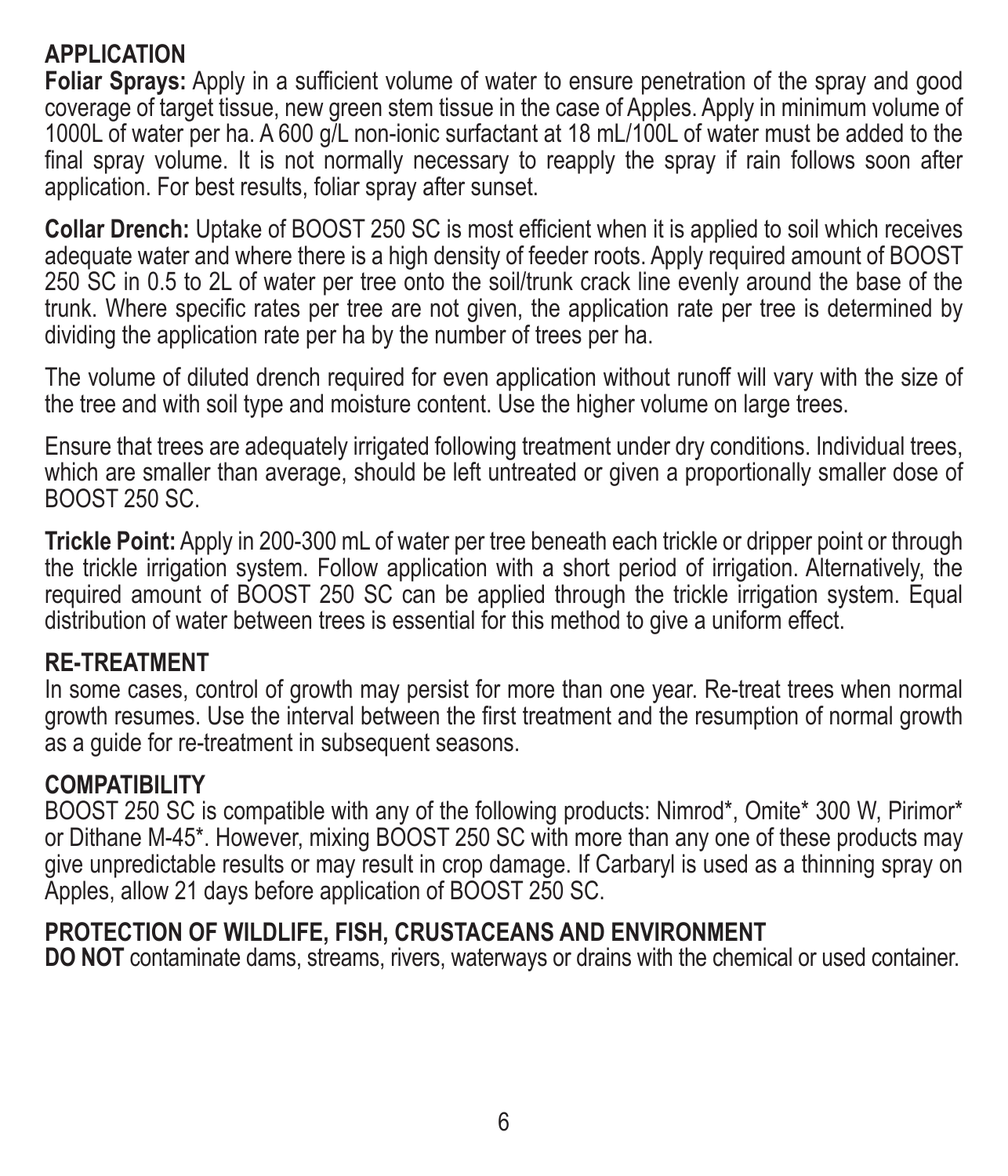#### **APPLICATION**

**Foliar Sprays:** Apply in a sufficient volume of water to ensure penetration of the spray and good coverage of target tissue, new green stem tissue in the case of Apples. Apply in minimum volume of 1000L of water per ha. A 600 g/L non-ionic surfactant at 18 mL/100L of water must be added to the final spray volume. It is not normally necessary to reapply the spray if rain follows soon after application. For best results, foliar spray after sunset.

**Collar Drench:** Uptake of BOOST 250 SC is most efficient when it is applied to soil which receives adequate water and where there is a high density of feeder roots. Apply required amount of BOOST 250 SC in 0.5 to 2L of water per tree onto the soil/trunk crack line evenly around the base of the trunk. Where specific rates per tree are not given, the application rate per tree is determined by dividing the application rate per ha by the number of trees per ha.

The volume of diluted drench required for even application without runoff will vary with the size of the tree and with soil type and moisture content. Use the higher volume on large trees.

Ensure that trees are adequately irrigated following treatment under dry conditions. Individual trees, which are smaller than average, should be left untreated or given a proportionally smaller dose of BOOST 250 SC.

**Trickle Point:** Apply in 200-300 mL of water per tree beneath each trickle or dripper point or through the trickle irrigation system. Follow application with a short period of irrigation. Alternatively, the required amount of BOOST 250 SC can be applied through the trickle irrigation system. Equal distribution of water between trees is essential for this method to give a uniform effect.

#### **RE-TREATMENT**

In some cases, control of growth may persist for more than one year. Re-treat trees when normal growth resumes. Use the interval between the first treatment and the resumption of normal growth as a guide for re-treatment in subsequent seasons.

#### **COMPATIBILITY**

BOOST 250 SC is compatible with any of the following products: Nimrod\*, Omite\* 300 W, Pirimor\* or Dithane M-45\*. However, mixing BOOST 250 SC with more than any one of these products may give unpredictable results or may result in crop damage. If Carbaryl is used as a thinning spray on Apples, allow 21 days before application of BOOST 250 SC.

#### **PROTECTION OF WILDLIFE, FISH, CRUSTACEANS AND ENVIRONMENT**

**DO NOT** contaminate dams, streams, rivers, waterways or drains with the chemical or used container.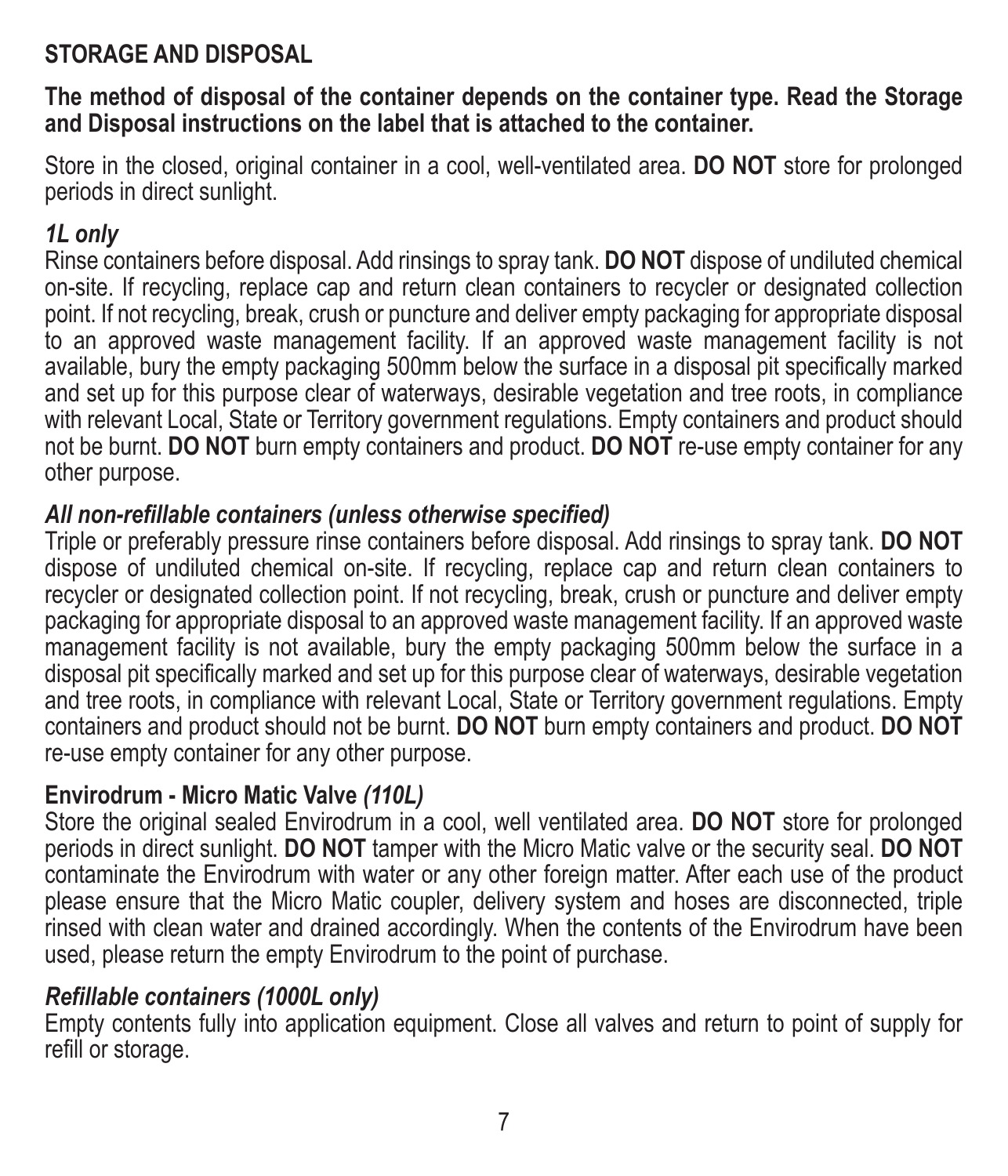#### **STORAGE AND DISPOSAL**

**The method of disposal of the container depends on the container type. Read the Storage and Disposal instructions on the label that is attached to the container.**

Store in the closed, original container in a cool, well-ventilated area. **DO NOT** store for prolonged periods in direct sunlight.

#### *1L only*

Rinse containers before disposal. Add rinsings to spray tank. **DO NOT** dispose of undiluted chemical on-site. If recycling, replace cap and return clean containers to recycler or designated collection point. If not recycling, break, crush or puncture and deliver empty packaging for appropriate disposal to an approved waste management facility. If an approved waste management facility is not available, bury the empty packaging 500mm below the surface in a disposal pit specifically marked and set up for this purpose clear of waterways, desirable vegetation and tree roots, in compliance with relevant Local, State or Territory government regulations. Empty containers and product should not be burnt. **DO NOT** burn empty containers and product. **DO NOT** re-use empty container for any other purpose.

#### *All non-refillable containers (unless otherwise specified)*

Triple or preferably pressure rinse containers before disposal. Add rinsings to spray tank. **DO NOT** dispose of undiluted chemical on-site. If recycling, replace cap and return clean containers to recycler or designated collection point. If not recycling, break, crush or puncture and deliver empty packaging for appropriate disposal to an approved waste management facility. If an approved waste management facility is not available, bury the empty packaging 500mm below the surface in a disposal pit specifically marked and set up for this purpose clear of waterways, desirable vegetation and tree roots, in compliance with relevant Local, State or Territory government regulations. Empty containers and product should not be burnt. **DO NOT** burn empty containers and product. **DO NOT** re-use empty container for any other purpose.

#### **Envirodrum - Micro Matic Valve** *(110L)*

Store the original sealed Envirodrum in a cool, well ventilated area. **DO NOT** store for prolonged periods in direct sunlight. **DO NOT** tamper with the Micro Matic valve or the security seal. **DO NOT** contaminate the Envirodrum with water or any other foreign matter. After each use of the product please ensure that the Micro Matic coupler, delivery system and hoses are disconnected, triple rinsed with clean water and drained accordingly. When the contents of the Envirodrum have been used, please return the empty Envirodrum to the point of purchase.

#### *Refillable containers (1000L only)*

Empty contents fully into application equipment. Close all valves and return to point of supply for refill or storage.